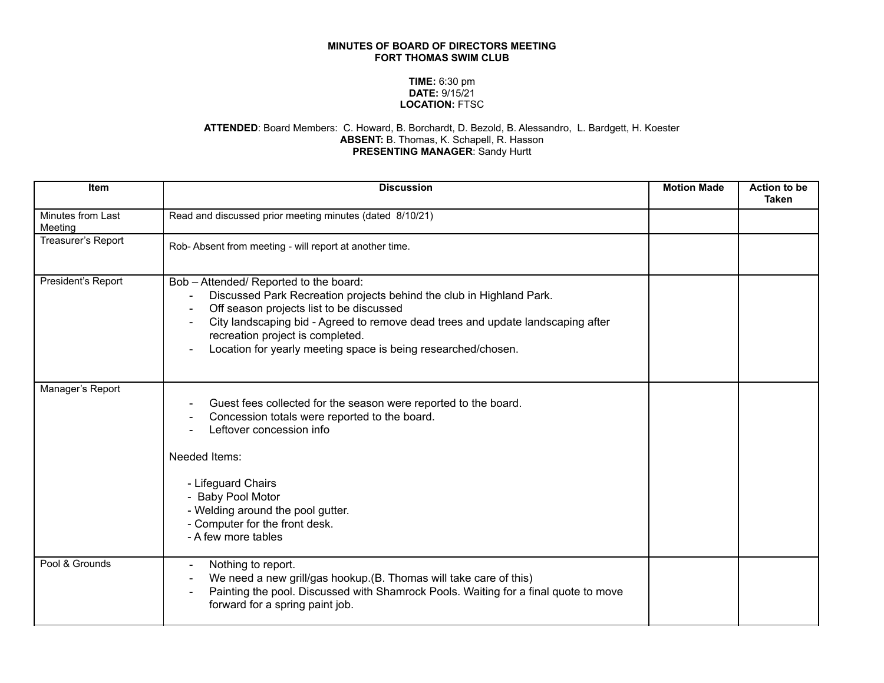## **MINUTES OF BOARD OF DIRECTORS MEETING FORT THOMAS SWIM CLUB**

## **TIME:** 6:30 pm **DATE:** 9/15/21 **LOCATION:** FTSC

## **ATTENDED**: Board Members: C. Howard, B. Borchardt, D. Bezold, B. Alessandro, L. Bardgett, H. Koester **ABSENT:** B. Thomas, K. Schapell, R. Hasson **PRESENTING MANAGER**: Sandy Hurtt

| <b>Item</b>                  | <b>Discussion</b>                                                                                                                                                                                                                                                                                                                                  | <b>Motion Made</b> | <b>Action to be</b><br><b>Taken</b> |
|------------------------------|----------------------------------------------------------------------------------------------------------------------------------------------------------------------------------------------------------------------------------------------------------------------------------------------------------------------------------------------------|--------------------|-------------------------------------|
| Minutes from Last<br>Meeting | Read and discussed prior meeting minutes (dated 8/10/21)                                                                                                                                                                                                                                                                                           |                    |                                     |
| Treasurer's Report           | Rob-Absent from meeting - will report at another time.                                                                                                                                                                                                                                                                                             |                    |                                     |
| President's Report           | Bob - Attended/ Reported to the board:<br>Discussed Park Recreation projects behind the club in Highland Park.<br>Off season projects list to be discussed<br>City landscaping bid - Agreed to remove dead trees and update landscaping after<br>recreation project is completed.<br>Location for yearly meeting space is being researched/chosen. |                    |                                     |
| Manager's Report             | Guest fees collected for the season were reported to the board.<br>Concession totals were reported to the board.<br>Leftover concession info<br>Needed Items:<br>- Lifeguard Chairs<br>- Baby Pool Motor<br>- Welding around the pool gutter.<br>- Computer for the front desk.<br>- A few more tables                                             |                    |                                     |
| Pool & Grounds               | Nothing to report.<br>We need a new grill/gas hookup.(B. Thomas will take care of this)<br>Painting the pool. Discussed with Shamrock Pools. Waiting for a final quote to move<br>forward for a spring paint job.                                                                                                                                  |                    |                                     |